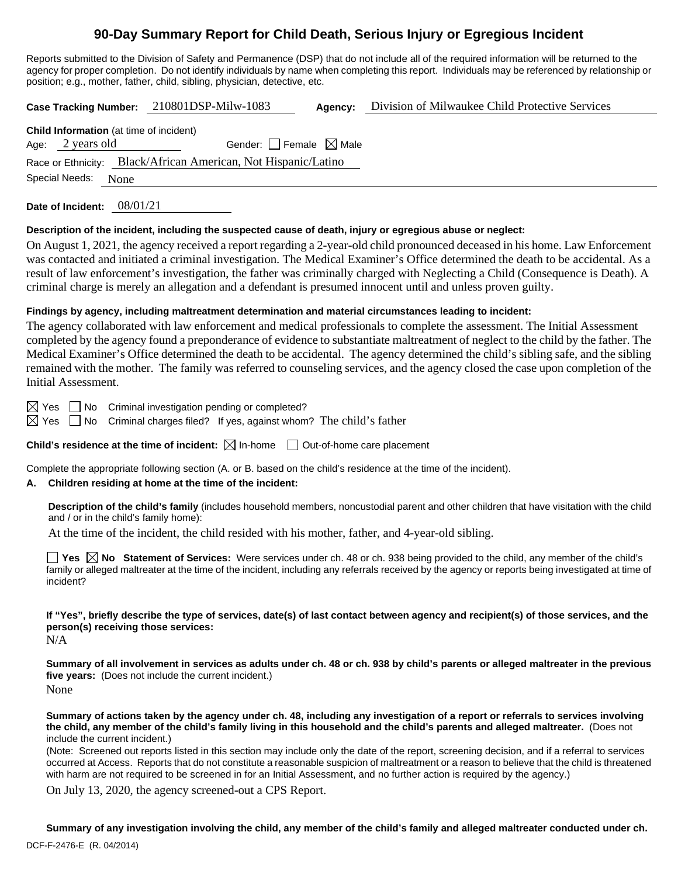# **90-Day Summary Report for Child Death, Serious Injury or Egregious Incident**

Reports submitted to the Division of Safety and Permanence (DSP) that do not include all of the required information will be returned to the agency for proper completion. Do not identify individuals by name when completing this report. Individuals may be referenced by relationship or position; e.g., mother, father, child, sibling, physician, detective, etc.

**Case Tracking Number:** 210801DSP-Milw-1083 **Agency:** Division of Milwaukee Child Protective Services

**Child Information** (at time of incident) Age:  $2$  years old Gender:  $\Box$  Female  $\boxtimes$  Male Race or Ethnicity: Black/African American, Not Hispanic/Latino Special Needs: None

**Date of Incident:** 08/01/21

#### **Description of the incident, including the suspected cause of death, injury or egregious abuse or neglect:**

On August 1, 2021, the agency received a report regarding a 2-year-old child pronounced deceased in his home. Law Enforcement was contacted and initiated a criminal investigation. The Medical Examiner's Office determined the death to be accidental. As a result of law enforcement's investigation, the father was criminally charged with Neglecting a Child (Consequence is Death). A criminal charge is merely an allegation and a defendant is presumed innocent until and unless proven guilty.

#### **Findings by agency, including maltreatment determination and material circumstances leading to incident:**

The agency collaborated with law enforcement and medical professionals to complete the assessment. The Initial Assessment completed by the agency found a preponderance of evidence to substantiate maltreatment of neglect to the child by the father. The Medical Examiner's Office determined the death to be accidental. The agency determined the child's sibling safe, and the sibling remained with the mother. The family was referred to counseling services, and the agency closed the case upon completion of the Initial Assessment.

 $\boxtimes$  Yes  $\Box$  No Criminal investigation pending or completed?

 $\boxtimes$  Yes  $\Box$  No Criminal charges filed? If yes, against whom? The child's father

**Child's residence at the time of incident:**  $\boxtimes$  In-home  $\Box$  Out-of-home care placement

Complete the appropriate following section (A. or B. based on the child's residence at the time of the incident).

#### **A. Children residing at home at the time of the incident:**

**Description of the child's family** (includes household members, noncustodial parent and other children that have visitation with the child and / or in the child's family home):

At the time of the incident, the child resided with his mother, father, and 4-year-old sibling.

**Yes**  $\boxtimes$  **No** Statement of Services: Were services under ch. 48 or ch. 938 being provided to the child, any member of the child's family or alleged maltreater at the time of the incident, including any referrals received by the agency or reports being investigated at time of incident?

**If "Yes", briefly describe the type of services, date(s) of last contact between agency and recipient(s) of those services, and the person(s) receiving those services:**

N/A

**Summary of all involvement in services as adults under ch. 48 or ch. 938 by child's parents or alleged maltreater in the previous five years:** (Does not include the current incident.)

None

**Summary of actions taken by the agency under ch. 48, including any investigation of a report or referrals to services involving the child, any member of the child's family living in this household and the child's parents and alleged maltreater.** (Does not include the current incident.)

(Note: Screened out reports listed in this section may include only the date of the report, screening decision, and if a referral to services occurred at Access. Reports that do not constitute a reasonable suspicion of maltreatment or a reason to believe that the child is threatened with harm are not required to be screened in for an Initial Assessment, and no further action is required by the agency.)

On July 13, 2020, the agency screened-out a CPS Report.

**Summary of any investigation involving the child, any member of the child's family and alleged maltreater conducted under ch.**